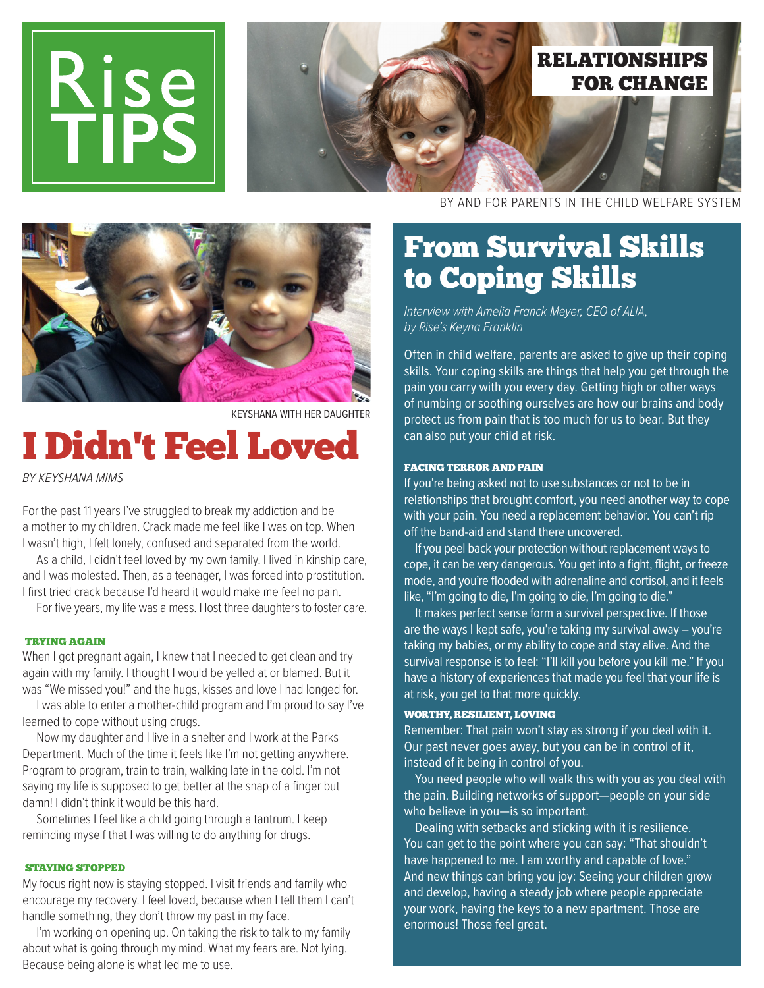



KEYSHANA WITH HER DAUGHTER

# I Didn't Feel Loved

BY KEYSHANA MIMS

For the past 11 years I've struggled to break my addiction and be a mother to my children. Crack made me feel like I was on top. When I wasn't high, I felt lonely, confused and separated from the world.

 As a child, I didn't feel loved by my own family. I lived in kinship care, and I was molested. Then, as a teenager, I was forced into prostitution. I first tried crack because I'd heard it would make me feel no pain.

For five years, my life was a mess. I lost three daughters to foster care.

#### TRYING AGAIN

When I got pregnant again, I knew that I needed to get clean and try again with my family. I thought I would be yelled at or blamed. But it was "We missed you!" and the hugs, kisses and love I had longed for.

 I was able to enter a mother-child program and I'm proud to say I've learned to cope without using drugs.

 Now my daughter and I live in a shelter and I work at the Parks Department. Much of the time it feels like I'm not getting anywhere. Program to program, train to train, walking late in the cold. I'm not saying my life is supposed to get better at the snap of a finger but damn! I didn't think it would be this hard.

 Sometimes I feel like a child going through a tantrum. I keep reminding myself that I was willing to do anything for drugs.

#### STAYING STOPPED

My focus right now is staying stopped. I visit friends and family who encourage my recovery. I feel loved, because when I tell them I can't handle something, they don't throw my past in my face.

 I'm working on opening up. On taking the risk to talk to my family about what is going through my mind. What my fears are. Not lying. Because being alone is what led me to use.

BY AND FOR PARENTS IN THE CHILD WELFARE SYSTEM

### From Survival Skills to Coping Skills

Interview with Amelia Franck Meyer, CEO of ALIA, by Rise's Keyna Franklin

Often in child welfare, parents are asked to give up their coping skills. Your coping skills are things that help you get through the pain you carry with you every day. Getting high or other ways of numbing or soothing ourselves are how our brains and body protect us from pain that is too much for us to bear. But they can also put your child at risk.

#### FACING TERROR AND PAIN

If you're being asked not to use substances or not to be in relationships that brought comfort, you need another way to cope with your pain. You need a replacement behavior. You can't rip off the band-aid and stand there uncovered.

If you peel back your protection without replacement ways to cope, it can be very dangerous. You get into a fight, flight, or freeze mode, and you're flooded with adrenaline and cortisol, and it feels like, "I'm going to die, I'm going to die, I'm going to die."

It makes perfect sense form a survival perspective. If those are the ways I kept safe, you're taking my survival away  $-$  you're taking my babies, or my ability to cope and stay alive. And the survival response is to feel: "I'll kill you before you kill me." If you have a history of experiences that made you feel that your life is at risk, you get to that more quickly.

#### WORTHY, RESILIENT, LOVING

Remember: That pain won't stay as strong if you deal with it. Our past never goes away, but you can be in control of it, instead of it being in control of you.

You need people who will walk this with you as you deal with the pain. Building networks of support—people on your side who believe in you—is so important.

Dealing with setbacks and sticking with it is resilience. You can get to the point where you can say: "That shouldn't have happened to me. I am worthy and capable of love." And new things can bring you joy: Seeing your children grow and develop, having a steady job where people appreciate your work, having the keys to a new apartment. Those are enormous! Those feel great.